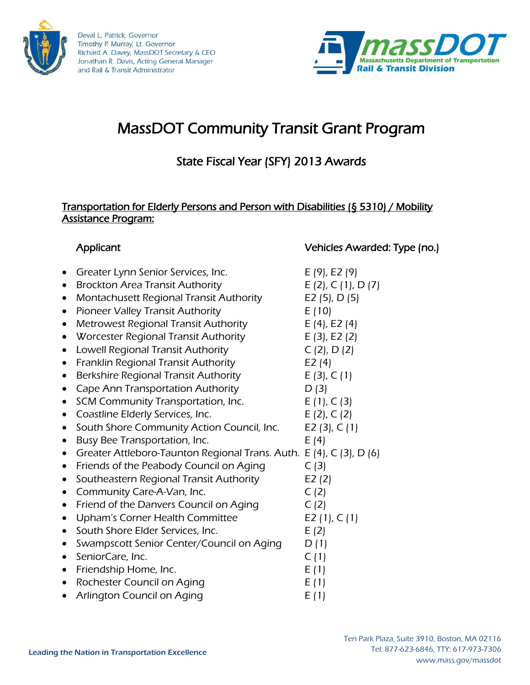



# MassDOT Community Transit Grant Program

# State Fiscal Year (SFY) 2013 Awards

#### Transportation for Elderly Persons and Person with Disabilities (§ 5310) / Mobility Assistance Program:

# Greater Lynn Senior Services, Inc.  $E(9)$ , E2 (9)

- Brockton Area Transit Authority  $E(2), C(1), D(7)$
- Montachusett Regional Transit Authority E2 (5), D (5)
- Pioneer Valley Transit Authority  $E(10)$
- Metrowest Regional Transit Authority  $E(4)$ , E2 (4)
- Worcester Regional Transit Authority  $E(3)$ , E2 (2)
- Lowell Regional Transit Authority  $C(2)$ , D  $(2)$
- Franklin Regional Transit Authority E2 (4)
- Berkshire Regional Transit Authority  $E(3)$ , C(1)
- Cape Ann Transportation Authority  $D(3)$
- SCM Community Transportation, Inc.  $E(1), C(3)$
- Coastline Elderly Services, Inc.  $E(2), C(2)$
- South Shore Community Action Council, Inc. E2 (3), C (1)
- Busy Bee Transportation, Inc.  $E(4)$
- Greater Attleboro-Taunton Regional Trans. Auth. E (4), C (3), D (6)
- Friends of the Peabody Council on Aging  $C(3)$
- Southeastern Regional Transit Authority E2 (2)
- Community Care-A-Van, Inc.  $C(2)$
- Friend of the Danvers Council on Aging  $C(2)$
- Upham's Corner Health Committee  $E_2(1), C(1)$
- South Shore Elder Services, Inc.  $E(2)$
- Swampscott Senior Center/Council on Aging  $D(1)$
- SeniorCare, Inc.  $C(1)$
- Friendship Home, Inc.  $E(1)$
- Rochester Council on Aging  $E(1)$
- Arlington Council on Aging  $E(1)$

#### Applicant Vehicles Awarded: Type (no.)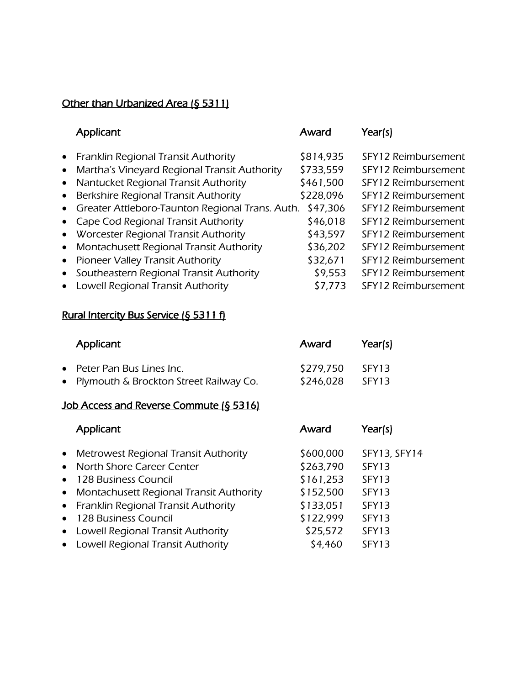#### Other than Urbanized Area (§ 5311)

|           | Applicant                                         | Award     | Year(s)             |
|-----------|---------------------------------------------------|-----------|---------------------|
|           | • Franklin Regional Transit Authority             | \$814,935 | SFY12 Reimbursement |
| $\bullet$ | Martha's Vineyard Regional Transit Authority      | \$733,559 | SFY12 Reimbursement |
| $\bullet$ | Nantucket Regional Transit Authority              | \$461,500 | SFY12 Reimbursement |
| $\bullet$ | Berkshire Regional Transit Authority              | \$228,096 | SFY12 Reimbursement |
|           | • Greater Attleboro-Taunton Regional Trans. Auth. | \$47,306  | SFY12 Reimbursement |
|           | • Cape Cod Regional Transit Authority             | \$46,018  | SFY12 Reimbursement |
|           | • Worcester Regional Transit Authority            | \$43,597  | SFY12 Reimbursement |
| $\bullet$ | Montachusett Regional Transit Authority           | \$36,202  | SFY12 Reimbursement |
|           | • Pioneer Valley Transit Authority                | \$32,671  | SFY12 Reimbursement |
| $\bullet$ | Southeastern Regional Transit Authority           | \$9,553   | SFY12 Reimbursement |
| $\bullet$ | Lowell Regional Transit Authority                 | \$7,773   | SFY12 Reimbursement |

#### Rural Intercity Bus Service (§ 5311 f)

| Applicant                                | Award     | Year(s) |
|------------------------------------------|-----------|---------|
| • Peter Pan Bus Lines Inc.               | \$279,750 | SFY13   |
| • Plymouth & Brockton Street Railway Co. | \$246,028 | SFY13   |

### Job Access and Reverse Commute (§ 5316)

| Applicant                                 | Award     | Year(s)           |
|-------------------------------------------|-----------|-------------------|
| • Metrowest Regional Transit Authority    | \$600,000 | SFY13, SFY14      |
| • North Shore Career Center               | \$263,790 | SFY13             |
| • 128 Business Council                    | \$161,253 | SFY <sub>13</sub> |
| • Montachusett Regional Transit Authority | \$152,500 | SFY <sub>13</sub> |
| • Franklin Regional Transit Authority     | \$133,051 | SFY <sub>13</sub> |
| • 128 Business Council                    | \$122,999 | SFY13             |
| • Lowell Regional Transit Authority       | \$25,572  | SFY <sub>13</sub> |
| • Lowell Regional Transit Authority       | \$4,460   | SFY <sub>13</sub> |
|                                           |           |                   |